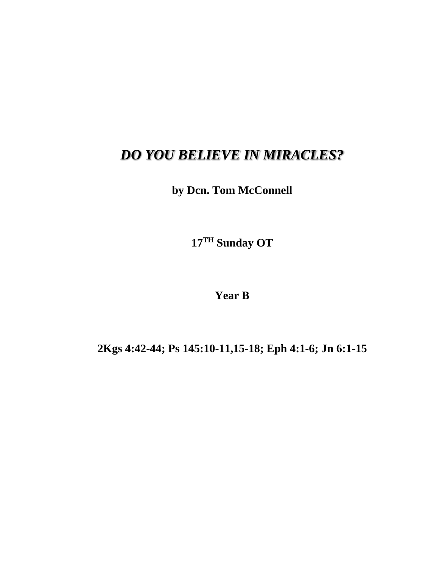## *DO YOU BELIEVE IN MIRACLES?*

**by Dcn. Tom McConnell**

**17 TH Sunday OT**

**Year B**

**2Kgs 4:42-44; Ps 145:10-11,15-18; Eph 4:1-6; Jn 6:1-15**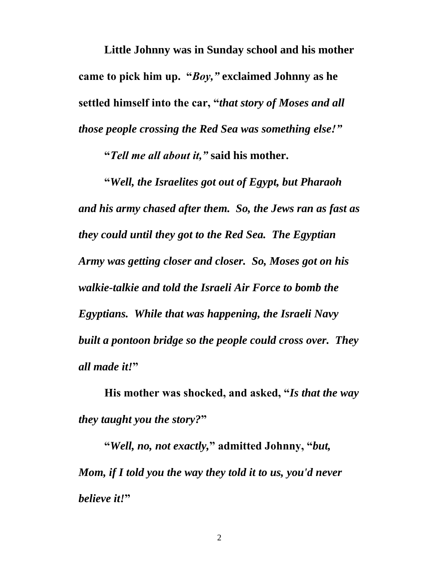**Little Johnny was in Sunday school and his mother came to pick him up. "***Boy,"* **exclaimed Johnny as he settled himself into the car, "***that story of Moses and all those people crossing the Red Sea was something else!"*

**"***Tell me all about it,"* **said his mother.**

**"***Well, the Israelites got out of Egypt, but Pharaoh and his army chased after them. So, the Jews ran as fast as they could until they got to the Red Sea. The Egyptian Army was getting closer and closer. So, Moses got on his walkie-talkie and told the Israeli Air Force to bomb the Egyptians. While that was happening, the Israeli Navy built a pontoon bridge so the people could cross over. They all made it!***"**

**His mother was shocked, and asked, "***Is that the way they taught you the story?***"**

**"***Well, no, not exactly,***" admitted Johnny, "***but, Mom, if I told you the way they told it to us, you'd never believe it!***"**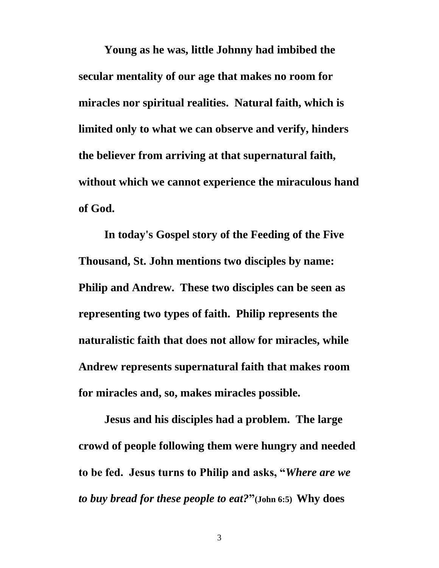**Young as he was, little Johnny had imbibed the secular mentality of our age that makes no room for miracles nor spiritual realities. Natural faith, which is limited only to what we can observe and verify, hinders the believer from arriving at that supernatural faith, without which we cannot experience the miraculous hand of God.**

**In today's Gospel story of the Feeding of the Five Thousand, St. John mentions two disciples by name: Philip and Andrew. These two disciples can be seen as representing two types of faith. Philip represents the naturalistic faith that does not allow for miracles, while Andrew represents supernatural faith that makes room for miracles and, so, makes miracles possible.**

**Jesus and his disciples had a problem. The large crowd of people following them were hungry and needed to be fed. Jesus turns to Philip and asks, "***Where are we to buy bread for these people to eat?***"(John 6:5) Why does** 

3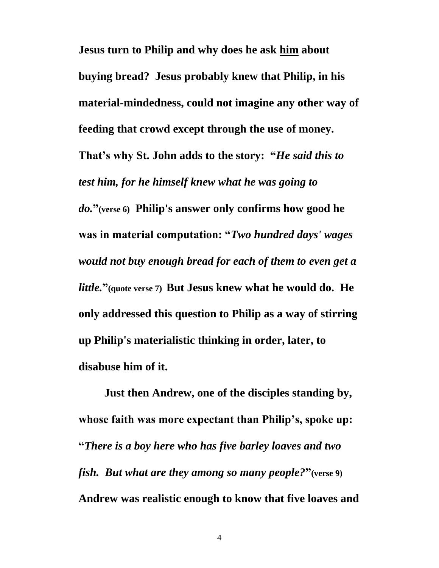**Jesus turn to Philip and why does he ask him about buying bread? Jesus probably knew that Philip, in his material-mindedness, could not imagine any other way of feeding that crowd except through the use of money. That's why St. John adds to the story: "***He said this to test him, for he himself knew what he was going to do.***"(verse 6) Philip's answer only confirms how good he was in material computation: "***Two hundred days' wages would not buy enough bread for each of them to even get a little.***"(quote verse 7) But Jesus knew what he would do. He only addressed this question to Philip as a way of stirring up Philip's materialistic thinking in order, later, to disabuse him of it.**

**Just then Andrew, one of the disciples standing by, whose faith was more expectant than Philip's, spoke up: "***There is a boy here who has five barley loaves and two fish. But what are they among so many people?***"(verse 9) Andrew was realistic enough to know that five loaves and**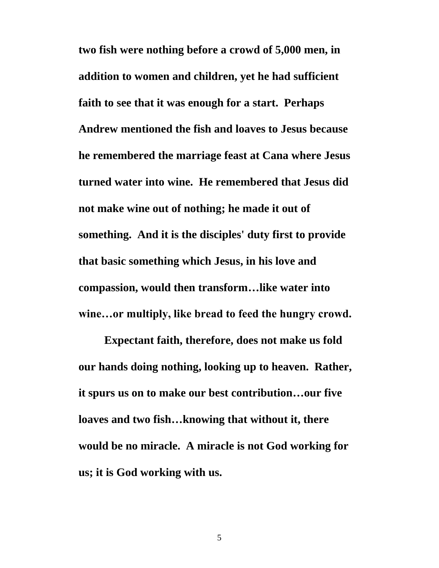**two fish were nothing before a crowd of 5,000 men, in addition to women and children, yet he had sufficient faith to see that it was enough for a start. Perhaps Andrew mentioned the fish and loaves to Jesus because he remembered the marriage feast at Cana where Jesus turned water into wine. He remembered that Jesus did not make wine out of nothing; he made it out of something. And it is the disciples' duty first to provide that basic something which Jesus, in his love and compassion, would then transform…like water into wine…or multiply, like bread to feed the hungry crowd.**

**Expectant faith, therefore, does not make us fold our hands doing nothing, looking up to heaven. Rather, it spurs us on to make our best contribution…our five loaves and two fish…knowing that without it, there would be no miracle. A miracle is not God working for us; it is God working with us.**